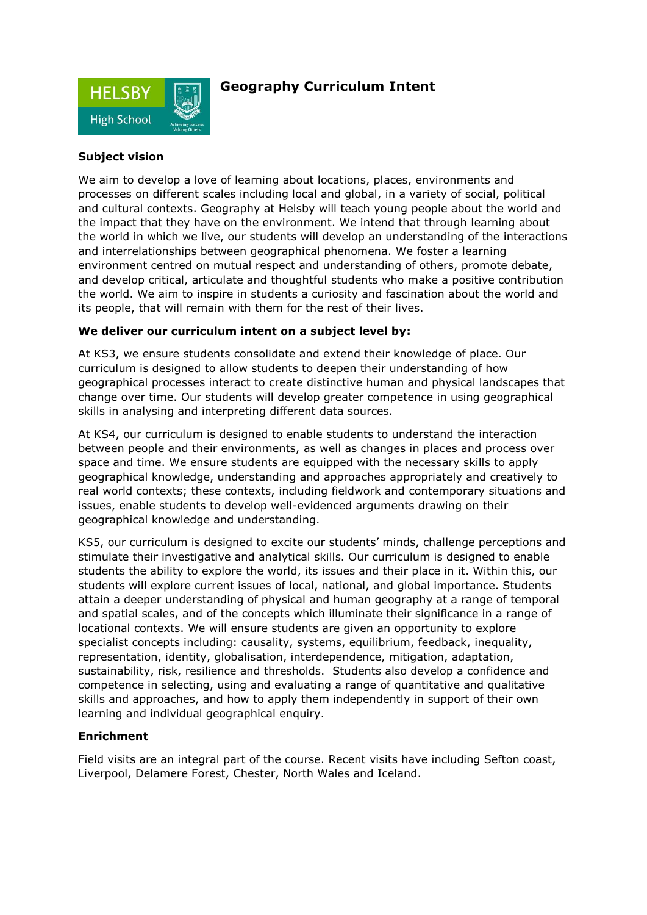

# **Geography Curriculum Intent**

### **Subject vision**

We aim to develop a love of learning about locations, places, environments and processes on different scales including local and global, in a variety of social, political and cultural contexts. Geography at Helsby will teach young people about the world and the impact that they have on the environment. We intend that through learning about the world in which we live, our students will develop an understanding of the interactions and interrelationships between geographical phenomena. We foster a learning environment centred on mutual respect and understanding of others, promote debate, and develop critical, articulate and thoughtful students who make a positive contribution the world. We aim to inspire in students a curiosity and fascination about the world and its people, that will remain with them for the rest of their lives.

### **We deliver our curriculum intent on a subject level by:**

At KS3, we ensure students consolidate and extend their knowledge of place. Our curriculum is designed to allow students to deepen their understanding of how geographical processes interact to create distinctive human and physical landscapes that change over time. Our students will develop greater competence in using geographical skills in analysing and interpreting different data sources.

At KS4, our curriculum is designed to enable students to understand the interaction between people and their environments, as well as changes in places and process over space and time. We ensure students are equipped with the necessary skills to apply geographical knowledge, understanding and approaches appropriately and creatively to real world contexts; these contexts, including fieldwork and contemporary situations and issues, enable students to develop well-evidenced arguments drawing on their geographical knowledge and understanding.

KS5, our curriculum is designed to excite our students' minds, challenge perceptions and stimulate their investigative and analytical skills. Our curriculum is designed to enable students the ability to explore the world, its issues and their place in it. Within this, our students will explore current issues of local, national, and global importance. Students attain a deeper understanding of physical and human geography at a range of temporal and spatial scales, and of the concepts which illuminate their significance in a range of locational contexts. We will ensure students are given an opportunity to explore specialist concepts including: causality, systems, equilibrium, feedback, inequality, representation, identity, globalisation, interdependence, mitigation, adaptation, sustainability, risk, resilience and thresholds. Students also develop a confidence and competence in selecting, using and evaluating a range of quantitative and qualitative skills and approaches, and how to apply them independently in support of their own learning and individual geographical enquiry.

### **Enrichment**

Field visits are an integral part of the course. Recent visits have including Sefton coast, Liverpool, Delamere Forest, Chester, North Wales and Iceland.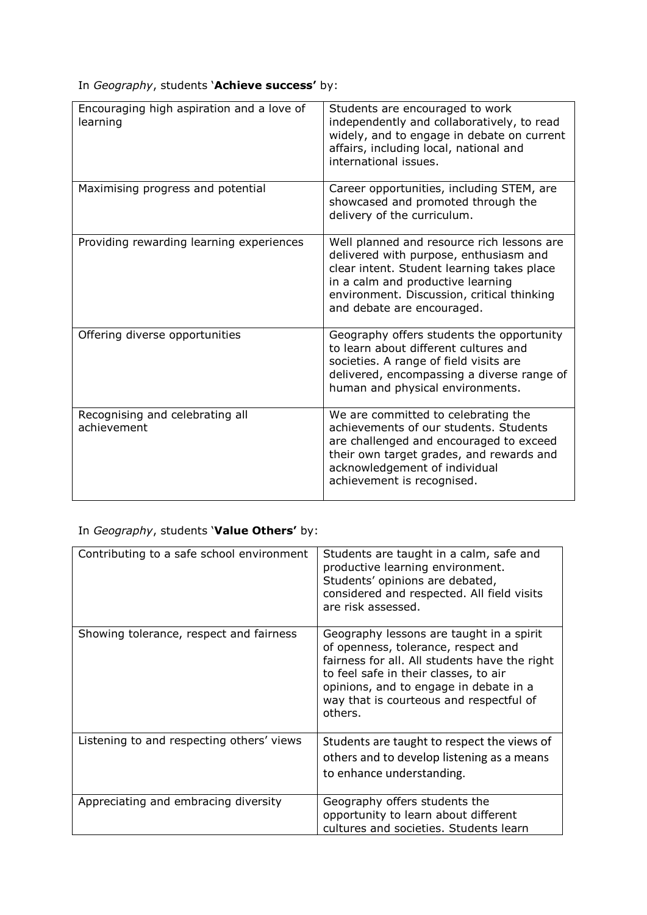In *Geography*, students '**Achieve success'** by:

| Encouraging high aspiration and a love of<br>learning | Students are encouraged to work<br>independently and collaboratively, to read<br>widely, and to engage in debate on current<br>affairs, including local, national and<br>international issues.                                                      |
|-------------------------------------------------------|-----------------------------------------------------------------------------------------------------------------------------------------------------------------------------------------------------------------------------------------------------|
| Maximising progress and potential                     | Career opportunities, including STEM, are<br>showcased and promoted through the<br>delivery of the curriculum.                                                                                                                                      |
| Providing rewarding learning experiences              | Well planned and resource rich lessons are<br>delivered with purpose, enthusiasm and<br>clear intent. Student learning takes place<br>in a calm and productive learning<br>environment. Discussion, critical thinking<br>and debate are encouraged. |
| Offering diverse opportunities                        | Geography offers students the opportunity<br>to learn about different cultures and<br>societies. A range of field visits are<br>delivered, encompassing a diverse range of<br>human and physical environments.                                      |
| Recognising and celebrating all<br>achievement        | We are committed to celebrating the<br>achievements of our students. Students<br>are challenged and encouraged to exceed<br>their own target grades, and rewards and<br>acknowledgement of individual<br>achievement is recognised.                 |

# In *Geography*, students '**Value Others'** by:

| Contributing to a safe school environment | Students are taught in a calm, safe and<br>productive learning environment.<br>Students' opinions are debated,<br>considered and respected. All field visits<br>are risk assessed.                                                                                        |
|-------------------------------------------|---------------------------------------------------------------------------------------------------------------------------------------------------------------------------------------------------------------------------------------------------------------------------|
| Showing tolerance, respect and fairness   | Geography lessons are taught in a spirit<br>of openness, tolerance, respect and<br>fairness for all. All students have the right<br>to feel safe in their classes, to air<br>opinions, and to engage in debate in a<br>way that is courteous and respectful of<br>others. |
| Listening to and respecting others' views | Students are taught to respect the views of<br>others and to develop listening as a means<br>to enhance understanding.                                                                                                                                                    |
| Appreciating and embracing diversity      | Geography offers students the<br>opportunity to learn about different<br>cultures and societies. Students learn                                                                                                                                                           |